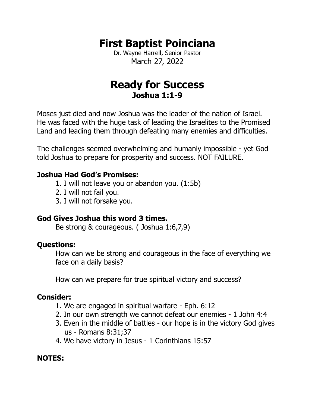# **First Baptist Poinciana**

Dr. Wayne Harrell, Senior Pastor March 27, 2022

# **Ready for Success Joshua 1:1-9**

Moses just died and now Joshua was the leader of the nation of Israel. He was faced with the huge task of leading the Israelites to the Promised Land and leading them through defeating many enemies and difficulties.

The challenges seemed overwhelming and humanly impossible - yet God told Joshua to prepare for prosperity and success. NOT FAILURE.

## **Joshua Had God's Promises:**

- 1. I will not leave you or abandon you. (1:5b)
- 2. I will not fail you.
- 3. I will not forsake you.

# **God Gives Joshua this word 3 times.**

Be strong & courageous. ( Joshua 1:6,7,9)

## **Questions:**

How can we be strong and courageous in the face of everything we face on a daily basis?

How can we prepare for true spiritual victory and success?

# **Consider:**

- 1. We are engaged in spiritual warfare Eph. 6:12
- 2. In our own strength we cannot defeat our enemies 1 John 4:4
- 3. Even in the middle of battles our hope is in the victory God gives us - Romans 8:31;37
- 4. We have victory in Jesus 1 Corinthians 15:57

# **NOTES:**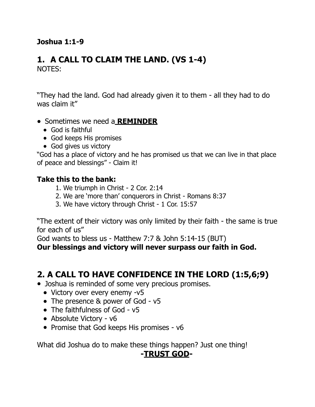## **Joshua 1:1-9**

#### **1. A CALL TO CLAIM THE LAND. (VS 1-4)**  NOTES:

"They had the land. God had already given it to them - all they had to do was claim it"

- Sometimes we need a **REMINDER**
	- God is faithful
	- God keeps His promises
	- God gives us victory

"God has a place of victory and he has promised us that we can live in that place of peace and blessings" - Claim it!

#### **Take this to the bank:**

- 1. We triumph in Christ 2 Cor. 2:14
- 2. We are 'more than' conquerors in Christ Romans 8:37
- 3. We have victory through Christ 1 Cor. 15:57

"The extent of their victory was only limited by their faith - the same is true for each of us"

God wants to bless us - Matthew 7:7 & John 5:14-15 (BUT)

**Our blessings and victory will never surpass our faith in God.** 

# **2. A CALL TO HAVE CONFIDENCE IN THE LORD (1:5,6;9)**

- Joshua is reminded of some very precious promises.
	- Victory over every enemy -v5
	- The presence & power of God v5
	- The faithfulness of God v5
	- Absolute Victory v6
	- Promise that God keeps His promises v6

What did Joshua do to make these things happen? Just one thing!

## **-TRUST GOD-**